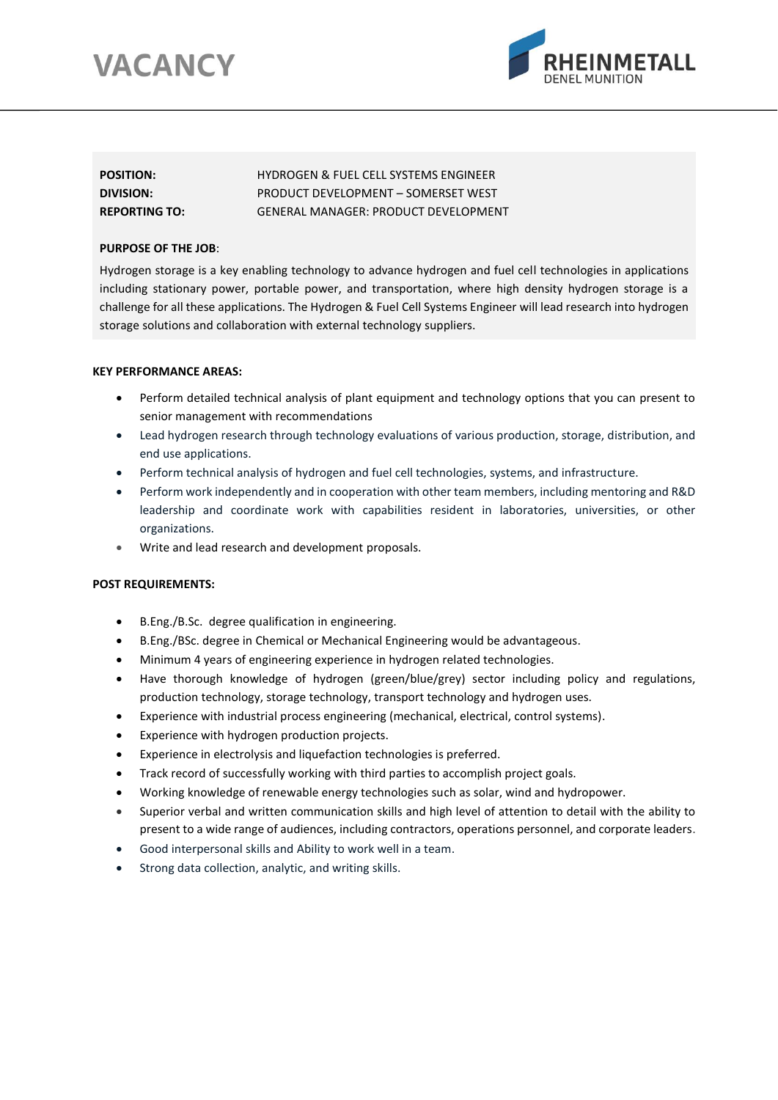# **VACANCY**



| <b>POSITION:</b>     | <b>HYDROGEN &amp; FUEL CELL SYSTEMS ENGINEER</b> |
|----------------------|--------------------------------------------------|
| DIVISION:            | PRODUCT DEVELOPMENT – SOMERSET WEST              |
| <b>REPORTING TO:</b> | GENERAL MANAGER: PRODUCT DEVELOPMENT             |

## **PURPOSE OF THE JOB**:

Hydrogen storage is a key enabling technology to advance hydrogen and fuel cell technologies in applications including stationary power, portable power, and transportation, where high density hydrogen storage is a challenge for all these applications. The Hydrogen & Fuel Cell Systems Engineer will lead research into hydrogen storage solutions and collaboration with external technology suppliers.

## **KEY PERFORMANCE AREAS:**

- Perform detailed technical analysis of plant equipment and technology options that you can present to senior management with recommendations
- Lead hydrogen research through technology evaluations of various production, storage, distribution, and end use applications.
- Perform technical analysis of hydrogen and fuel cell technologies, systems, and infrastructure.
- Perform work independently and in cooperation with other team members, including mentoring and R&D leadership and coordinate work with capabilities resident in laboratories, universities, or other organizations.
- Write and lead research and development proposals.

# **POST REQUIREMENTS:**

- B.Eng./B.Sc. degree qualification in engineering.
- B.Eng./BSc. degree in Chemical or Mechanical Engineering would be advantageous.
- Minimum 4 years of engineering experience in hydrogen related technologies.
- Have thorough knowledge of hydrogen (green/blue/grey) sector including policy and regulations, production technology, storage technology, transport technology and hydrogen uses.
- Experience with industrial process engineering (mechanical, electrical, control systems).
- Experience with hydrogen production projects.
- Experience in electrolysis and liquefaction technologies is preferred.
- Track record of successfully working with third parties to accomplish project goals.
- Working knowledge of renewable energy technologies such as solar, wind and hydropower.
- Superior verbal and written communication skills and high level of attention to detail with the ability to present to a wide range of audiences, including contractors, operations personnel, and corporate leaders.
- Good interpersonal skills and Ability to work well in a team.
- Strong data collection, analytic, and writing skills.